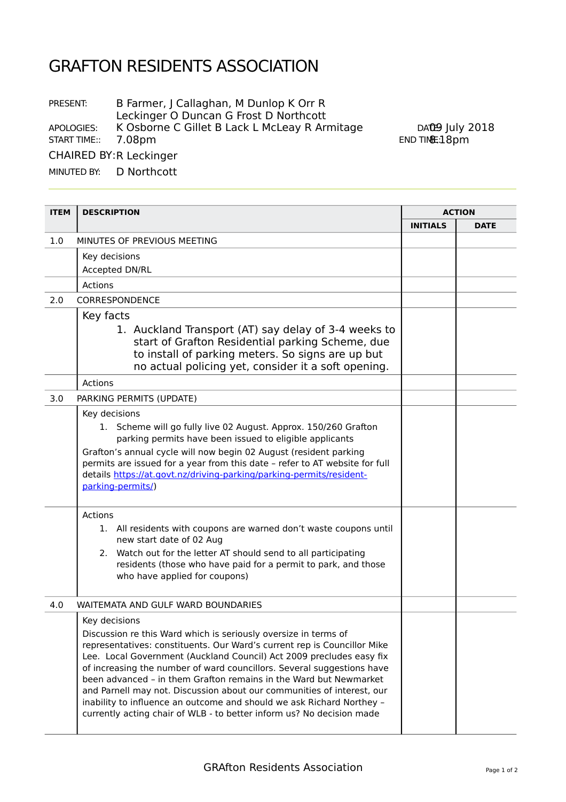## GRAFTON RESIDENTS ASSOCIATION

PRESENT: B Farmer, J Callaghan, M Dunlop K Orr R Leckinger O Duncan G Frost D Northcott APOLOGIES: K Osborne C Gillet B Lack L McLeay R Armitage DATE9 July 2018

END TIME: 18pm

START TIME:: 7.08pm

CHAIRED BY: R Leckinger

MINUTED BY: D Northcott

| <b>ITEM</b> | <b>DESCRIPTION</b>                                                                                                                                                                                                                                                                                                                                                                                                                                                                                                                                                                             | <b>ACTION</b>   |             |
|-------------|------------------------------------------------------------------------------------------------------------------------------------------------------------------------------------------------------------------------------------------------------------------------------------------------------------------------------------------------------------------------------------------------------------------------------------------------------------------------------------------------------------------------------------------------------------------------------------------------|-----------------|-------------|
|             |                                                                                                                                                                                                                                                                                                                                                                                                                                                                                                                                                                                                | <b>INITIALS</b> | <b>DATE</b> |
| 1.0         | MINUTES OF PREVIOUS MEETING                                                                                                                                                                                                                                                                                                                                                                                                                                                                                                                                                                    |                 |             |
|             | Key decisions                                                                                                                                                                                                                                                                                                                                                                                                                                                                                                                                                                                  |                 |             |
|             | Accepted DN/RL                                                                                                                                                                                                                                                                                                                                                                                                                                                                                                                                                                                 |                 |             |
|             | Actions                                                                                                                                                                                                                                                                                                                                                                                                                                                                                                                                                                                        |                 |             |
| 2.0         | CORRESPONDENCE                                                                                                                                                                                                                                                                                                                                                                                                                                                                                                                                                                                 |                 |             |
|             | Key facts                                                                                                                                                                                                                                                                                                                                                                                                                                                                                                                                                                                      |                 |             |
|             | 1. Auckland Transport (AT) say delay of 3-4 weeks to<br>start of Grafton Residential parking Scheme, due<br>to install of parking meters. So signs are up but<br>no actual policing yet, consider it a soft opening.                                                                                                                                                                                                                                                                                                                                                                           |                 |             |
|             | Actions                                                                                                                                                                                                                                                                                                                                                                                                                                                                                                                                                                                        |                 |             |
| 3.0         | PARKING PERMITS (UPDATE)                                                                                                                                                                                                                                                                                                                                                                                                                                                                                                                                                                       |                 |             |
|             | Key decisions<br>1. Scheme will go fully live 02 August. Approx. 150/260 Grafton<br>parking permits have been issued to eligible applicants<br>Grafton's annual cycle will now begin 02 August (resident parking<br>permits are issued for a year from this date - refer to AT website for full<br>details https://at.govt.nz/driving-parking/parking-permits/resident-<br>parking-permits/)                                                                                                                                                                                                   |                 |             |
|             | Actions<br>1. All residents with coupons are warned don't waste coupons until                                                                                                                                                                                                                                                                                                                                                                                                                                                                                                                  |                 |             |
|             | new start date of 02 Aug<br>Watch out for the letter AT should send to all participating<br>2.<br>residents (those who have paid for a permit to park, and those<br>who have applied for coupons)                                                                                                                                                                                                                                                                                                                                                                                              |                 |             |
| 4.0         | WAITEMATA AND GULF WARD BOUNDARIES                                                                                                                                                                                                                                                                                                                                                                                                                                                                                                                                                             |                 |             |
|             | Key decisions                                                                                                                                                                                                                                                                                                                                                                                                                                                                                                                                                                                  |                 |             |
|             | Discussion re this Ward which is seriously oversize in terms of<br>representatives: constituents. Our Ward's current rep is Councillor Mike<br>Lee. Local Government (Auckland Council) Act 2009 precludes easy fix<br>of increasing the number of ward councillors. Several suggestions have<br>been advanced - in them Grafton remains in the Ward but Newmarket<br>and Parnell may not. Discussion about our communities of interest, our<br>inability to influence an outcome and should we ask Richard Northey -<br>currently acting chair of WLB - to better inform us? No decision made |                 |             |